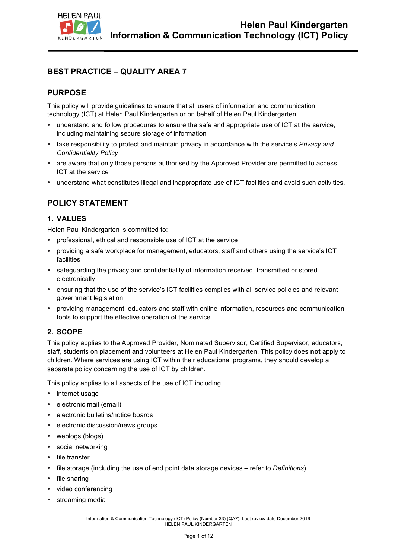

# **BEST PRACTICE – QUALITY AREA 7**

# **PURPOSE**

This policy will provide guidelines to ensure that all users of information and communication technology (ICT) at Helen Paul Kindergarten or on behalf of Helen Paul Kindergarten:

- understand and follow procedures to ensure the safe and appropriate use of ICT at the service, including maintaining secure storage of information
- take responsibility to protect and maintain privacy in accordance with the service's *Privacy and Confidentiality Policy*
- are aware that only those persons authorised by the Approved Provider are permitted to access ICT at the service
- understand what constitutes illegal and inappropriate use of ICT facilities and avoid such activities.

# **POLICY STATEMENT**

### **1. VALUES**

Helen Paul Kindergarten is committed to:

- professional, ethical and responsible use of ICT at the service
- providing a safe workplace for management, educators, staff and others using the service's ICT facilities
- safeguarding the privacy and confidentiality of information received, transmitted or stored electronically
- ensuring that the use of the service's ICT facilities complies with all service policies and relevant government legislation
- providing management, educators and staff with online information, resources and communication tools to support the effective operation of the service.

### **2. SCOPE**

This policy applies to the Approved Provider, Nominated Supervisor, Certified Supervisor, educators, staff, students on placement and volunteers at Helen Paul Kindergarten. This policy does **not** apply to children. Where services are using ICT within their educational programs, they should develop a separate policy concerning the use of ICT by children.

This policy applies to all aspects of the use of ICT including:

- internet usage
- electronic mail (email)
- electronic bulletins/notice boards
- electronic discussion/news groups
- weblogs (blogs)
- social networking
- file transfer
- file storage (including the use of end point data storage devices refer to *Definitions*)
- file sharing
- video conferencing
- streaming media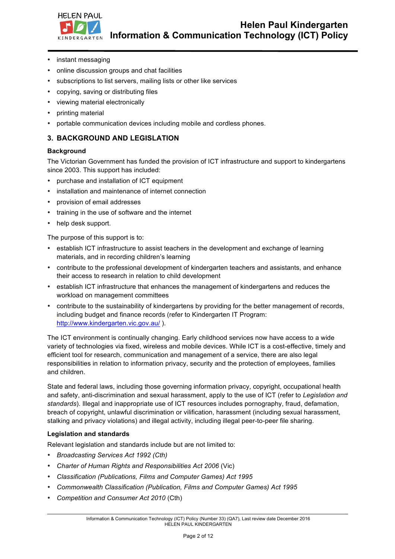

- instant messaging
- online discussion groups and chat facilities
- subscriptions to list servers, mailing lists or other like services
- copying, saving or distributing files
- viewing material electronically
- printing material
- portable communication devices including mobile and cordless phones.

### **3. BACKGROUND AND LEGISLATION**

#### **Background**

The Victorian Government has funded the provision of ICT infrastructure and support to kindergartens since 2003. This support has included:

- purchase and installation of ICT equipment
- installation and maintenance of internet connection
- provision of email addresses
- training in the use of software and the internet
- help desk support.

The purpose of this support is to:

- establish ICT infrastructure to assist teachers in the development and exchange of learning materials, and in recording children's learning
- contribute to the professional development of kindergarten teachers and assistants, and enhance their access to research in relation to child development
- establish ICT infrastructure that enhances the management of kindergartens and reduces the workload on management committees
- contribute to the sustainability of kindergartens by providing for the better management of records, including budget and finance records (refer to Kindergarten IT Program: http://www.kindergarten.vic.gov.au/ ).

The ICT environment is continually changing. Early childhood services now have access to a wide variety of technologies via fixed, wireless and mobile devices. While ICT is a cost-effective, timely and efficient tool for research, communication and management of a service, there are also legal responsibilities in relation to information privacy, security and the protection of employees, families and children.

State and federal laws, including those governing information privacy, copyright, occupational health and safety, anti-discrimination and sexual harassment, apply to the use of ICT (refer to *Legislation and standards*). Illegal and inappropriate use of ICT resources includes pornography, fraud, defamation, breach of copyright, unlawful discrimination or vilification, harassment (including sexual harassment, stalking and privacy violations) and illegal activity, including illegal peer-to-peer file sharing.

#### **Legislation and standards**

Relevant legislation and standards include but are not limited to:

- *Broadcasting Services Act 1992 (Cth)*
- *Charter of Human Rights and Responsibilities Act 2006* (Vic)
- *Classification (Publications, Films and Computer Games) Act 1995*
- *Commonwealth Classification (Publication, Films and Computer Games) Act 1995*
- *Competition and Consumer Act 2010* (Cth)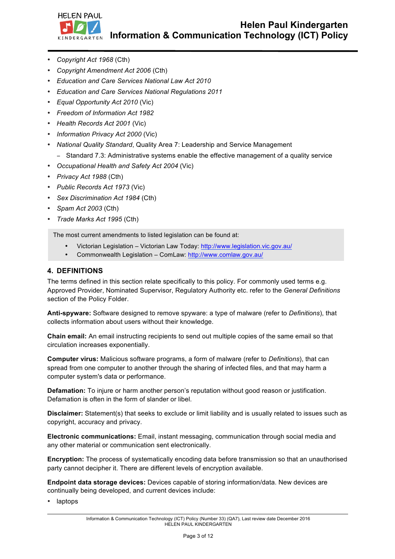

- *Copyright Act 1968* (Cth)
- *Copyright Amendment Act 2006* (Cth)
- *Education and Care Services National Law Act 2010*
- *Education and Care Services National Regulations 2011*
- *Equal Opportunity Act 2010* (Vic)
- *Freedom of Information Act 1982*
- *Health Records Act 2001* (Vic)
- *Information Privacy Act 2000* (Vic)
- *National Quality Standard*, Quality Area 7: Leadership and Service Management
	- − Standard 7.3: Administrative systems enable the effective management of a quality service
- *Occupational Health and Safety Act 2004* (Vic)
- *Privacy Act 1988* (Cth)
- *Public Records Act 1973* (Vic)
- *Sex Discrimination Act 1984* (Cth)
- *Spam Act 2003* (Cth)
- *Trade Marks Act 1995* (Cth)

The most current amendments to listed legislation can be found at:

- Victorian Legislation Victorian Law Today: http://www.legislation.vic.gov.au/
- Commonwealth Legislation ComLaw: http://www.comlaw.gov.au/

#### **4. DEFINITIONS**

The terms defined in this section relate specifically to this policy. For commonly used terms e.g. Approved Provider, Nominated Supervisor, Regulatory Authority etc. refer to the *General Definitions* section of the Policy Folder.

**Anti-spyware:** Software designed to remove spyware: a type of malware (refer to *Definitions*), that collects information about users without their knowledge.

**Chain email:** An email instructing recipients to send out multiple copies of the same email so that circulation increases exponentially.

**Computer virus:** Malicious software programs, a form of malware (refer to *Definitions*), that can spread from one computer to another through the sharing of infected files, and that may harm a computer system's data or performance.

**Defamation:** To injure or harm another person's reputation without good reason or justification. Defamation is often in the form of slander or libel.

**Disclaimer:** Statement(s) that seeks to exclude or limit liability and is usually related to issues such as copyright, accuracy and privacy.

**Electronic communications:** Email, instant messaging, communication through social media and any other material or communication sent electronically.

**Encryption:** The process of systematically encoding data before transmission so that an unauthorised party cannot decipher it. There are different levels of encryption available.

**Endpoint data storage devices:** Devices capable of storing information/data. New devices are continually being developed, and current devices include:

• laptops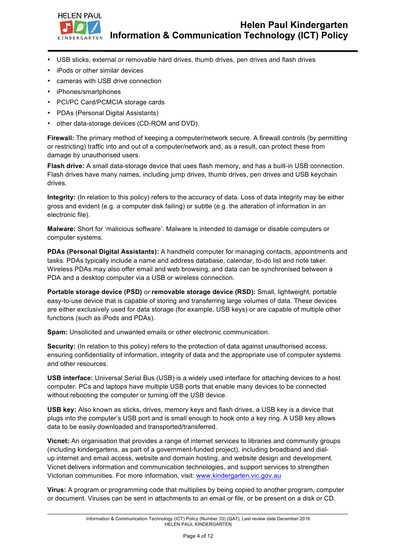

- USB sticks, external or removable hard drives, thumb drives, pen drives and flash drives
- iPods or other similar devices
- cameras with USB drive connection
- iPhones/smartphones
- PCI/PC Card/PCMCIA storage cards
- PDAs (Personal Digital Assistants)
- other data-storage devices (CD-ROM and DVD).

**Firewall:** The primary method of keeping a computer/network secure. A firewall controls (by permitting or restricting) traffic into and out of a computer/network and, as a result, can protect these from damage by unauthorised users.

**Flash drive:** A small data-storage device that uses flash memory, and has a built-in USB connection. Flash drives have many names, including jump drives, thumb drives, pen drives and USB keychain drives.

**Integrity:** (In relation to this policy) refers to the accuracy of data. Loss of data integrity may be either gross and evident (e.g. a computer disk failing) or subtle (e.g. the alteration of information in an electronic file).

**Malware:** Short for 'malicious software'. Malware is intended to damage or disable computers or computer systems.

**PDAs (Personal Digital Assistants):** A handheld computer for managing contacts, appointments and tasks. PDAs typically include a name and address database, calendar, to-do list and note taker. Wireless PDAs may also offer email and web browsing, and data can be synchronised between a PDA and a desktop computer via a USB or wireless connection.

**Portable storage device (PSD)** *or* **removable storage device (RSD):** Small, lightweight, portable easy-to-use device that is capable of storing and transferring large volumes of data. These devices are either exclusively used for data storage (for example, USB keys) or are capable of multiple other functions (such as iPods and PDAs).

**Spam:** Unsolicited and unwanted emails or other electronic communication.

**Security:** (In relation to this policy) refers to the protection of data against unauthorised access, ensuring confidentiality of information, integrity of data and the appropriate use of computer systems and other resources.

**USB interface:** Universal Serial Bus (USB) is a widely used interface for attaching devices to a host computer. PCs and laptops have multiple USB ports that enable many devices to be connected without rebooting the computer or turning off the USB device.

**USB key:** Also known as sticks, drives, memory keys and flash drives, a USB key is a device that plugs into the computer's USB port and is small enough to hook onto a key ring. A USB key allows data to be easily downloaded and transported/transferred.

**Vicnet:** An organisation that provides a range of internet services to libraries and community groups (including kindergartens, as part of a government-funded project), including broadband and dialup internet and email access, website and domain hosting, and website design and development. Vicnet delivers information and communication technologies, and support services to strengthen Victorian communities. For more information, visit: www.kindergarten.vic.gov.au

**Virus:** A program or programming code that multiplies by being copied to another program, computer or document. Viruses can be sent in attachments to an email or file, or be present on a disk or CD.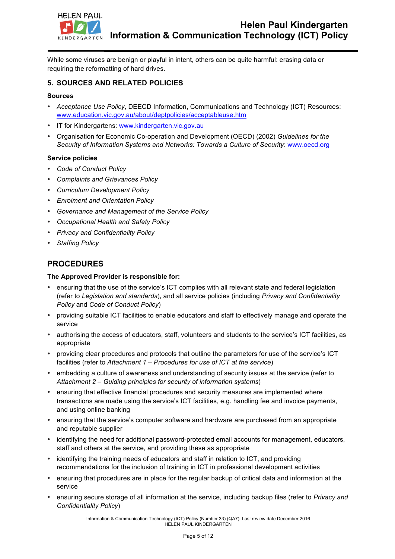

While some viruses are benign or playful in intent, others can be quite harmful: erasing data or requiring the reformatting of hard drives.

### **5. SOURCES AND RELATED POLICIES**

#### **Sources**

- *Acceptance Use Policy*, DEECD Information, Communications and Technology (ICT) Resources: www.education.vic.gov.au/about/deptpolicies/acceptableuse.htm
- IT for Kindergartens: www.kindergarten.vic.gov.au
- Organisation for Economic Co-operation and Development (OECD) (2002) *Guidelines for the Security of Information Systems and Networks: Towards a Culture of Security*: www.oecd.org

#### **Service policies**

- *Code of Conduct Policy*
- *Complaints and Grievances Policy*
- *Curriculum Development Policy*
- *Enrolment and Orientation Policy*
- *Governance and Management of the Service Policy*
- *Occupational Health and Safety Policy*
- *Privacy and Confidentiality Policy*
- *Staffing Policy*

## **PROCEDURES**

#### **The Approved Provider is responsible for:**

- ensuring that the use of the service's ICT complies with all relevant state and federal legislation (refer to *Legislation and standards*), and all service policies (including *Privacy and Confidentiality Policy* and *Code of Conduct Policy*)
- providing suitable ICT facilities to enable educators and staff to effectively manage and operate the service
- authorising the access of educators, staff, volunteers and students to the service's ICT facilities, as appropriate
- providing clear procedures and protocols that outline the parameters for use of the service's ICT facilities (refer to *Attachment 1 – Procedures for use of ICT at the service*)
- embedding a culture of awareness and understanding of security issues at the service (refer to *Attachment 2 – Guiding principles for security of information systems*)
- ensuring that effective financial procedures and security measures are implemented where transactions are made using the service's ICT facilities, e.g. handling fee and invoice payments, and using online banking
- ensuring that the service's computer software and hardware are purchased from an appropriate and reputable supplier
- identifying the need for additional password-protected email accounts for management, educators, staff and others at the service, and providing these as appropriate
- identifying the training needs of educators and staff in relation to ICT, and providing recommendations for the inclusion of training in ICT in professional development activities
- ensuring that procedures are in place for the regular backup of critical data and information at the service
- ensuring secure storage of all information at the service, including backup files (refer to *Privacy and Confidentiality Policy*)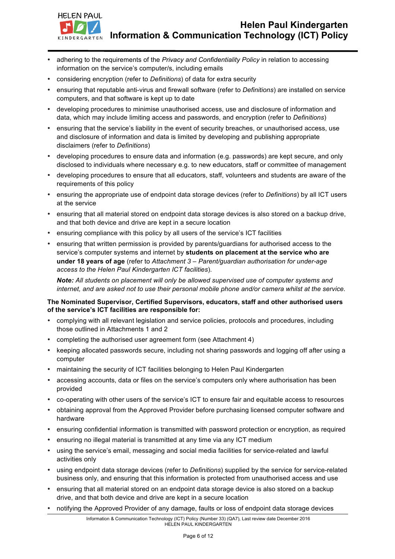

- adhering to the requirements of the *Privacy and Confidentiality Policy* in relation to accessing information on the service's computer/s, including emails
- considering encryption (refer to *Definitions*) of data for extra security
- ensuring that reputable anti-virus and firewall software (refer to *Definitions*) are installed on service computers, and that software is kept up to date
- developing procedures to minimise unauthorised access, use and disclosure of information and data, which may include limiting access and passwords, and encryption (refer to *Definitions*)
- ensuring that the service's liability in the event of security breaches, or unauthorised access, use and disclosure of information and data is limited by developing and publishing appropriate disclaimers (refer to *Definitions*)
- developing procedures to ensure data and information (e.g. passwords) are kept secure, and only disclosed to individuals where necessary e.g. to new educators, staff or committee of management
- developing procedures to ensure that all educators, staff, volunteers and students are aware of the requirements of this policy
- ensuring the appropriate use of endpoint data storage devices (refer to *Definitions*) by all ICT users at the service
- ensuring that all material stored on endpoint data storage devices is also stored on a backup drive, and that both device and drive are kept in a secure location
- ensuring compliance with this policy by all users of the service's ICT facilities
- ensuring that written permission is provided by parents/guardians for authorised access to the service's computer systems and internet by **students on placement at the service who are under 18 years of age** (refer to *Attachment 3 – Parent/guardian authorisation for under-age access to the Helen Paul Kindergarten ICT facilities*).

*Note: All students on placement will only be allowed supervised use of computer systems and internet, and are asked not to use their personal mobile phone and/or camera whilst at the service.*

#### **The Nominated Supervisor, Certified Supervisors, educators, staff and other authorised users of the service's ICT facilities are responsible for:**

- complying with all relevant legislation and service policies, protocols and procedures, including those outlined in Attachments 1 and 2
- completing the authorised user agreement form (see Attachment 4)
- keeping allocated passwords secure, including not sharing passwords and logging off after using a computer
- maintaining the security of ICT facilities belonging to Helen Paul Kindergarten
- accessing accounts, data or files on the service's computers only where authorisation has been provided
- co-operating with other users of the service's ICT to ensure fair and equitable access to resources
- obtaining approval from the Approved Provider before purchasing licensed computer software and hardware
- ensuring confidential information is transmitted with password protection or encryption, as required
- ensuring no illegal material is transmitted at any time via any ICT medium
- using the service's email, messaging and social media facilities for service-related and lawful activities only
- using endpoint data storage devices (refer to *Definitions*) supplied by the service for service-related business only, and ensuring that this information is protected from unauthorised access and use
- ensuring that all material stored on an endpoint data storage device is also stored on a backup drive, and that both device and drive are kept in a secure location
- notifying the Approved Provider of any damage, faults or loss of endpoint data storage devices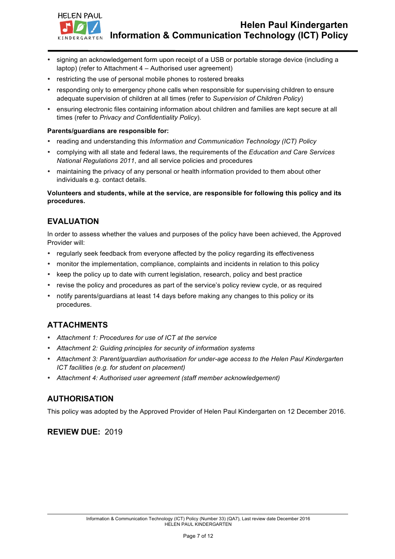

- signing an acknowledgement form upon receipt of a USB or portable storage device (including a laptop) (refer to Attachment 4 – Authorised user agreement)
- restricting the use of personal mobile phones to rostered breaks
- responding only to emergency phone calls when responsible for supervising children to ensure adequate supervision of children at all times (refer to *Supervision of Children Policy*)
- ensuring electronic files containing information about children and families are kept secure at all times (refer to *Privacy and Confidentiality Policy*).

#### **Parents/guardians are responsible for:**

- reading and understanding this *Information and Communication Technology (ICT) Policy*
- complying with all state and federal laws, the requirements of the *Education and Care Services National Regulations 2011*, and all service policies and procedures
- maintaining the privacy of any personal or health information provided to them about other individuals e.g. contact details.

#### **Volunteers and students, while at the service, are responsible for following this policy and its procedures.**

## **EVALUATION**

In order to assess whether the values and purposes of the policy have been achieved, the Approved Provider will:

- regularly seek feedback from everyone affected by the policy regarding its effectiveness
- monitor the implementation, compliance, complaints and incidents in relation to this policy
- keep the policy up to date with current legislation, research, policy and best practice
- revise the policy and procedures as part of the service's policy review cycle, or as required
- notify parents/guardians at least 14 days before making any changes to this policy or its procedures.

### **ATTACHMENTS**

- *Attachment 1: Procedures for use of ICT at the service*
- *Attachment 2: Guiding principles for security of information systems*
- *Attachment 3: Parent/guardian authorisation for under-age access to the Helen Paul Kindergarten ICT facilities (e.g. for student on placement)*
- *Attachment 4: Authorised user agreement (staff member acknowledgement)*

### **AUTHORISATION**

This policy was adopted by the Approved Provider of Helen Paul Kindergarten on 12 December 2016.

### **REVIEW DUE:** 2019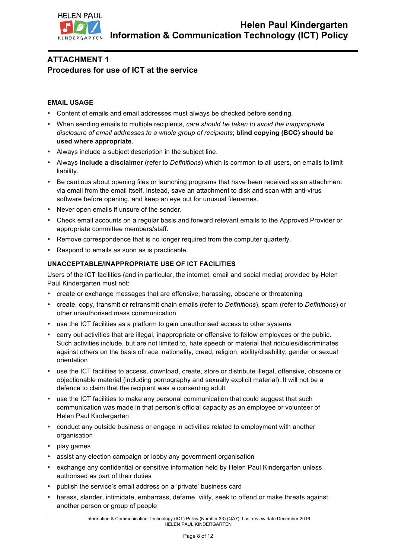

# **ATTACHMENT 1 Procedures for use of ICT at the service**

#### **EMAIL USAGE**

- Content of emails and email addresses must always be checked before sending.
- When sending emails to multiple recipients, *care should be taken to avoid the inappropriate disclosure of email addresses to a whole group of recipients*; **blind copying (BCC) should be used where appropriate**.
- Always include a subject description in the subject line.
- Always **include a disclaimer** (refer to *Definitions*) which is common to all users, on emails to limit liability.
- Be cautious about opening files or launching programs that have been received as an attachment via email from the email itself. Instead, save an attachment to disk and scan with anti-virus software before opening, and keep an eye out for unusual filenames.
- Never open emails if unsure of the sender.
- Check email accounts on a regular basis and forward relevant emails to the Approved Provider or appropriate committee members/staff.
- Remove correspondence that is no longer required from the computer quarterly.
- Respond to emails as soon as is practicable.

### **UNACCEPTABLE/INAPPROPRIATE USE OF ICT FACILITIES**

Users of the ICT facilities (and in particular, the internet, email and social media) provided by Helen Paul Kindergarten must not:

- create or exchange messages that are offensive, harassing, obscene or threatening
- create, copy, transmit or retransmit chain emails (refer to *Definitions*), spam (refer to *Definitions*) or other unauthorised mass communication
- use the ICT facilities as a platform to gain unauthorised access to other systems
- carry out activities that are illegal, inappropriate or offensive to fellow employees or the public. Such activities include, but are not limited to, hate speech or material that ridicules/discriminates against others on the basis of race, nationality, creed, religion, ability/disability, gender or sexual orientation
- use the ICT facilities to access, download, create, store or distribute illegal, offensive, obscene or objectionable material (including pornography and sexually explicit material). It will not be a defence to claim that the recipient was a consenting adult
- use the ICT facilities to make any personal communication that could suggest that such communication was made in that person's official capacity as an employee or volunteer of Helen Paul Kindergarten
- conduct any outside business or engage in activities related to employment with another organisation
- play games
- assist any election campaign or lobby any government organisation
- exchange any confidential or sensitive information held by Helen Paul Kindergarten unless authorised as part of their duties
- publish the service's email address on a 'private' business card
- harass, slander, intimidate, embarrass, defame, vilify, seek to offend or make threats against another person or group of people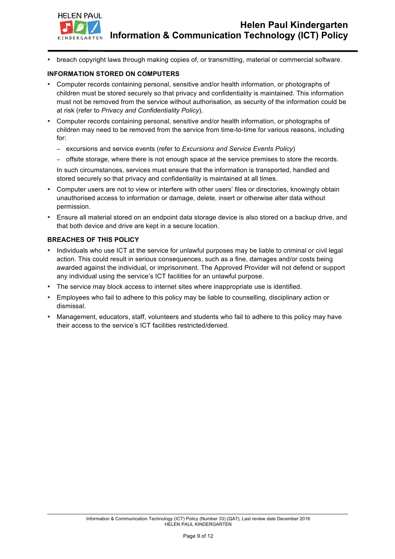

• breach copyright laws through making copies of, or transmitting, material or commercial software.

#### **INFORMATION STORED ON COMPUTERS**

- Computer records containing personal, sensitive and/or health information, or photographs of children must be stored securely so that privacy and confidentiality is maintained. This information must not be removed from the service without authorisation, as security of the information could be at risk (refer to *Privacy and Confidentiality Policy*).
- Computer records containing personal, sensitive and/or health information, or photographs of children may need to be removed from the service from time-to-time for various reasons, including for:
	- − excursions and service events (refer to *Excursions and Service Events Policy*)
	- − offsite storage, where there is not enough space at the service premises to store the records.

In such circumstances, services must ensure that the information is transported, handled and stored securely so that privacy and confidentiality is maintained at all times.

- Computer users are not to view or interfere with other users' files or directories, knowingly obtain unauthorised access to information or damage, delete, insert or otherwise alter data without permission.
- Ensure all material stored on an endpoint data storage device is also stored on a backup drive, and that both device and drive are kept in a secure location.

#### **BREACHES OF THIS POLICY**

- Individuals who use ICT at the service for unlawful purposes may be liable to criminal or civil legal action. This could result in serious consequences, such as a fine, damages and/or costs being awarded against the individual, or imprisonment. The Approved Provider will not defend or support any individual using the service's ICT facilities for an unlawful purpose.
- The service may block access to internet sites where inappropriate use is identified.
- Employees who fail to adhere to this policy may be liable to counselling, disciplinary action or dismissal.
- Management, educators, staff, volunteers and students who fail to adhere to this policy may have their access to the service's ICT facilities restricted/denied.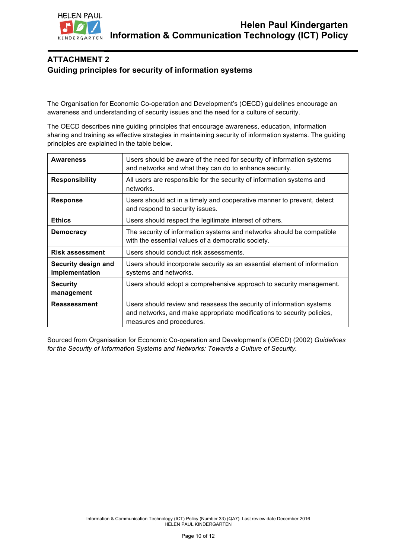

# **ATTACHMENT 2 Guiding principles for security of information systems**

The Organisation for Economic Co-operation and Development's (OECD) guidelines encourage an awareness and understanding of security issues and the need for a culture of security.

The OECD describes nine guiding principles that encourage awareness, education, information sharing and training as effective strategies in maintaining security of information systems. The guiding principles are explained in the table below.

| <b>Awareness</b>                      | Users should be aware of the need for security of information systems<br>and networks and what they can do to enhance security.                                            |
|---------------------------------------|----------------------------------------------------------------------------------------------------------------------------------------------------------------------------|
| <b>Responsibility</b>                 | All users are responsible for the security of information systems and<br>networks.                                                                                         |
| <b>Response</b>                       | Users should act in a timely and cooperative manner to prevent, detect<br>and respond to security issues.                                                                  |
| <b>Ethics</b>                         | Users should respect the legitimate interest of others.                                                                                                                    |
| <b>Democracy</b>                      | The security of information systems and networks should be compatible<br>with the essential values of a democratic society.                                                |
| <b>Risk assessment</b>                | Users should conduct risk assessments.                                                                                                                                     |
| Security design and<br>implementation | Users should incorporate security as an essential element of information<br>systems and networks.                                                                          |
| <b>Security</b><br>management         | Users should adopt a comprehensive approach to security management.                                                                                                        |
| <b>Reassessment</b>                   | Users should review and reassess the security of information systems<br>and networks, and make appropriate modifications to security policies,<br>measures and procedures. |

Sourced from Organisation for Economic Co-operation and Development's (OECD) (2002) *Guidelines for the Security of Information Systems and Networks: Towards a Culture of Security.*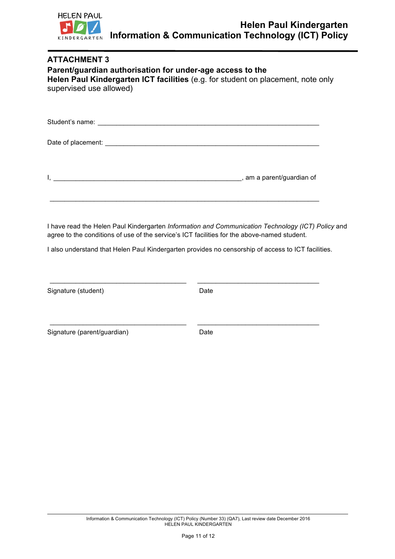

| Parent/guardian authorisation for under-age access to the<br>Helen Paul Kindergarten ICT facilities (e.g. for student on placement, note only                                                    |                                                                                                    |
|--------------------------------------------------------------------------------------------------------------------------------------------------------------------------------------------------|----------------------------------------------------------------------------------------------------|
|                                                                                                                                                                                                  |                                                                                                    |
|                                                                                                                                                                                                  |                                                                                                    |
|                                                                                                                                                                                                  |                                                                                                    |
| I have read the Helen Paul Kindergarten Information and Communication Technology (ICT) Policy and<br>agree to the conditions of use of the service's ICT facilities for the above-named student. |                                                                                                    |
|                                                                                                                                                                                                  |                                                                                                    |
| Date                                                                                                                                                                                             |                                                                                                    |
| Date                                                                                                                                                                                             |                                                                                                    |
|                                                                                                                                                                                                  | I also understand that Helen Paul Kindergarten provides no censorship of access to ICT facilities. |